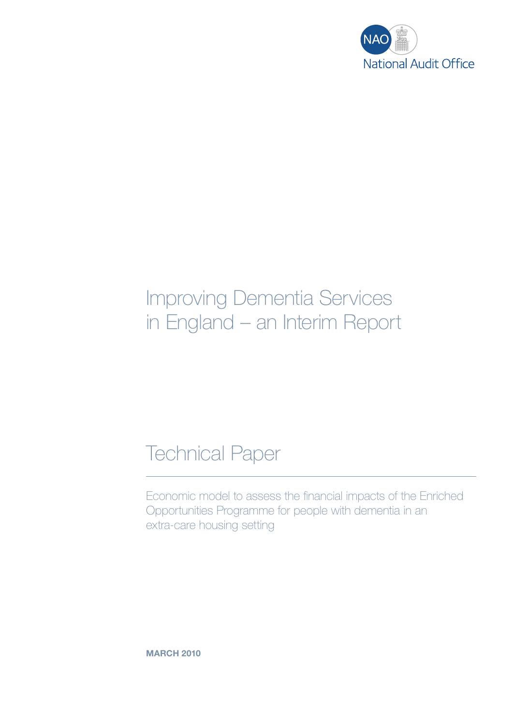

# Improving Dementia Services in England – an Interim Report

## Technical Paper

Economic model to assess the financial impacts of the Enriched Opportunities Programme for people with dementia in an extra-care housing setting

**MARCH 2010**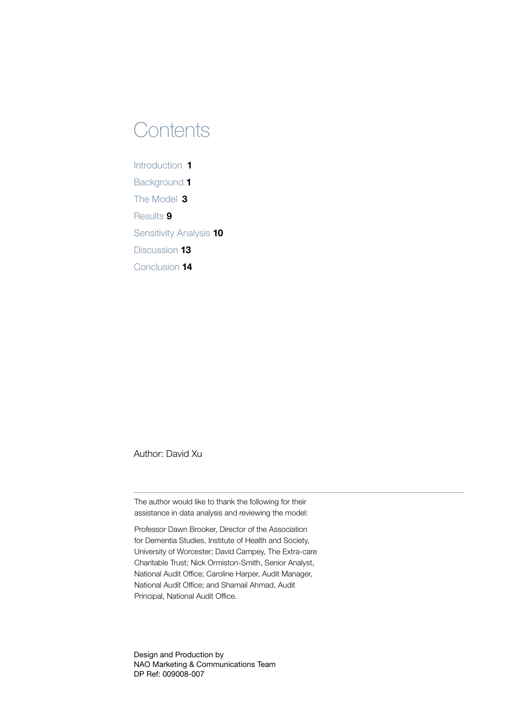## **Contents**

Introduction [1](#page-2-0) Background 1 The Model 3 Results 9 Sensitivity Analysis 10 Discussion 13 Conclusion 14

Author: David Xu

The author would like to thank the following for their assistance in data analysis and reviewing the model:

Professor Dawn Brooker, Director of the Association for Dementia Studies, Institute of Health and Society, University of Worcester; David Campey, The Extra-care Charitable Trust; Nick Ormiston‑Smith, Senior Analyst, National Audit Office; Caroline Harper, Audit Manager, National Audit Office; and Shamail Ahmad, Audit Principal, National Audit Office.

Design and Production by NAO Marketing & Communications Team DP Ref: 009008-007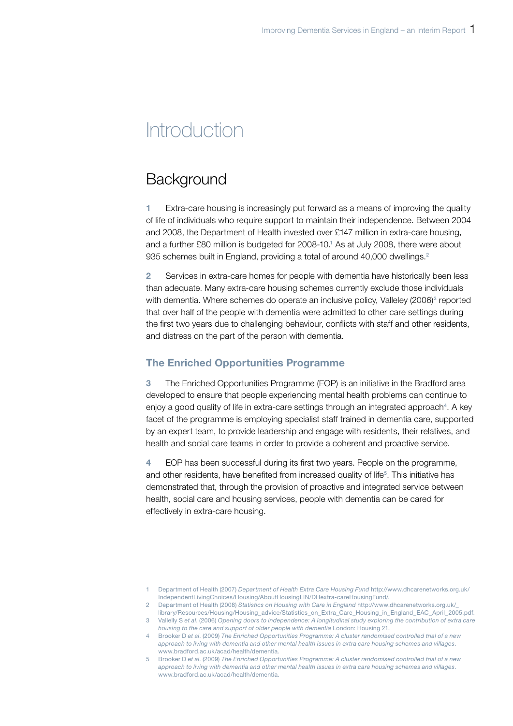## <span id="page-2-0"></span>**Introduction**

## **Background**

1 Extra-care housing is increasingly put forward as a means of improving the quality of life of individuals who require support to maintain their independence. Between 2004 and 2008, the Department of Health invested over £147 million in extra-care housing, and a further £80 million is budgeted for 2008-10.<sup>1</sup> As at July 2008, there were about 935 schemes built in England, providing a total of around 40,000 dwellings.<sup>2</sup>

2 Services in extra-care homes for people with dementia have historically been less than adequate. Many extra-care housing schemes currently exclude those individuals with dementia. Where schemes do operate an inclusive policy, Valleley (2006)<sup>3</sup> reported that over half of the people with dementia were admitted to other care settings during the first two years due to challenging behaviour, conflicts with staff and other residents, and distress on the part of the person with dementia.

### The Enriched Opportunities Programme

3 The Enriched Opportunities Programme (EOP) is an initiative in the Bradford area developed to ensure that people experiencing mental health problems can continue to enjoy a good quality of life in extra-care settings through an integrated approach<sup>4</sup>. A key facet of the programme is employing specialist staff trained in dementia care, supported by an expert team, to provide leadership and engage with residents, their relatives, and health and social care teams in order to provide a coherent and proactive service.

4 EOP has been successful during its first two years. People on the programme, and other residents, have benefited from increased quality of life<sup>5</sup> . This initiative has demonstrated that, through the provision of proactive and integrated service between health, social care and housing services, people with dementia can be cared for effectively in extra-care housing.

<sup>1</sup> Department of Health (2007) *Department of Health Extra Care Housing Fund* http://www.dhcarenetworks.org.uk/ IndependentLivingChoices/Housing/AboutHousingLIN/DHextra-careHousingFund/.

<sup>2</sup> Department of Health (2008) *Statistics on Housing with Care in England* http://www.dhcarenetworks.org.uk/\_

library/Resources/Housing/Housing\_advice/Statistics\_on\_Extra\_Care\_Housing\_in\_England\_EAC\_April\_2005.pdf. 3 Vallelly S *et al*. (2006) *Opening doors to independence: A longitudinal study exploring the contribution of extra care housing to the care and support of older people with dementia* London: Housing 21.

<sup>4</sup> Brooker D *et al*. (2009) *The Enriched Opportunities Programme: A cluster randomised controlled trial of a new approach to living with dementia and other mental health issues in extra care housing schemes and villages*. www.bradford.ac.uk/acad/health/dementia.

<sup>5</sup> Brooker D *et al*. (2009) *The Enriched Opportunities Programme: A cluster randomised controlled trial of a new approach to living with dementia and other mental health issues in extra care housing schemes and villages*. www.bradford.ac.uk/acad/health/dementia.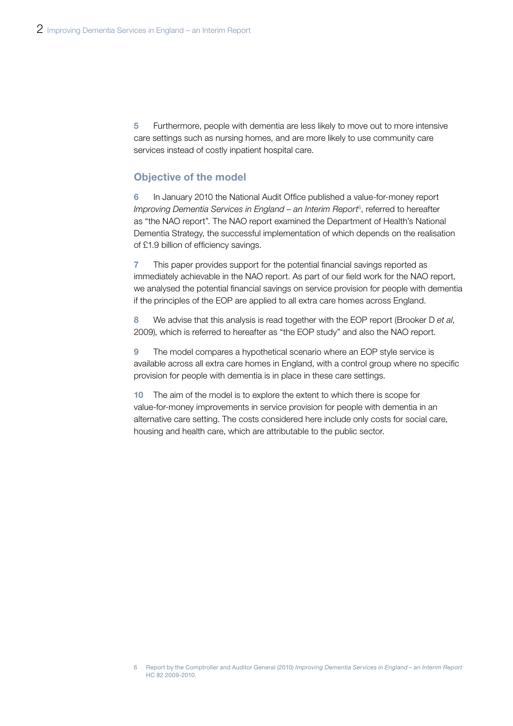5 Furthermore, people with dementia are less likely to move out to more intensive care settings such as nursing homes, and are more likely to use community care services instead of costly inpatient hospital care.

### Objective of the model

6 In January 2010 the National Audit Office published a value-for-money report Improving Dementia Services in England – an Interim Report<sup>6</sup>, referred to hereafter as "the NAO report". The NAO report examined the Department of Health's National Dementia Strategy, the successful implementation of which depends on the realisation of £1.9 billion of efficiency savings.

7 This paper provides support for the potential financial savings reported as immediately achievable in the NAO report. As part of our field work for the NAO report, we analysed the potential financial savings on service provision for people with dementia if the principles of the EOP are applied to all extra care homes across England.

8 We advise that this analysis is read together with the EOP report (Brooker D *et al*, 2009), which is referred to hereafter as "the EOP study" and also the NAO report.

9 The model compares a hypothetical scenario where an EOP style service is available across all extra care homes in England, with a control group where no specific provision for people with dementia is in place in these care settings.

10 The aim of the model is to explore the extent to which there is scope for value-for-money improvements in service provision for people with dementia in an alternative care setting. The costs considered here include only costs for social care, housing and health care, which are attributable to the public sector.

<sup>6</sup> Report by the Comptroller and Auditor General (2010) *Improving Dementia Services in England – an Interim Report* HC 82 2009-2010.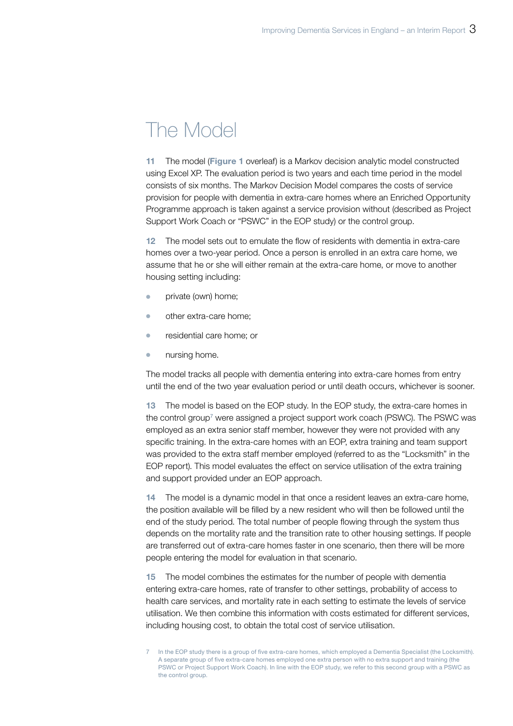## The Model

11 The model (Figure 1 overleaf) is a Markov decision analytic model constructed using Excel XP. The evaluation period is two years and each time period in the model consists of six months. The Markov Decision Model compares the costs of service provision for people with dementia in extra-care homes where an Enriched Opportunity Programme approach is taken against a service provision without (described as Project Support Work Coach or "PSWC" in the EOP study) or the control group.

12 The model sets out to emulate the flow of residents with dementia in extra-care homes over a two-year period. Once a person is enrolled in an extra care home, we assume that he or she will either remain at the extra-care home, or move to another housing setting including:

- private (own) home;
- other extra-care home;
- **•** residential care home; or
- $\bullet$  nursing home.

The model tracks all people with dementia entering into extra-care homes from entry until the end of the two year evaluation period or until death occurs, whichever is sooner.

13 The model is based on the EOP study. In the EOP study, the extra-care homes in the control group<sup>7</sup> were assigned a project support work coach (PSWC). The PSWC was employed as an extra senior staff member, however they were not provided with any specific training. In the extra-care homes with an EOP, extra training and team support was provided to the extra staff member employed (referred to as the "Locksmith" in the EOP report). This model evaluates the effect on service utilisation of the extra training and support provided under an EOP approach.

14 The model is a dynamic model in that once a resident leaves an extra-care home, the position available will be filled by a new resident who will then be followed until the end of the study period. The total number of people flowing through the system thus depends on the mortality rate and the transition rate to other housing settings. If people are transferred out of extra-care homes faster in one scenario, then there will be more people entering the model for evaluation in that scenario.

15 The model combines the estimates for the number of people with dementia entering extra-care homes, rate of transfer to other settings, probability of access to health care services, and mortality rate in each setting to estimate the levels of service utilisation. We then combine this information with costs estimated for different services, including housing cost, to obtain the total cost of service utilisation.

<sup>7</sup> In the EOP study there is a group of five extra-care homes, which employed a Dementia Specialist (the Locksmith). A separate group of five extra-care homes employed one extra person with no extra support and training (the PSWC or Project Support Work Coach). In line with the EOP study, we refer to this second group with a PSWC as the control group.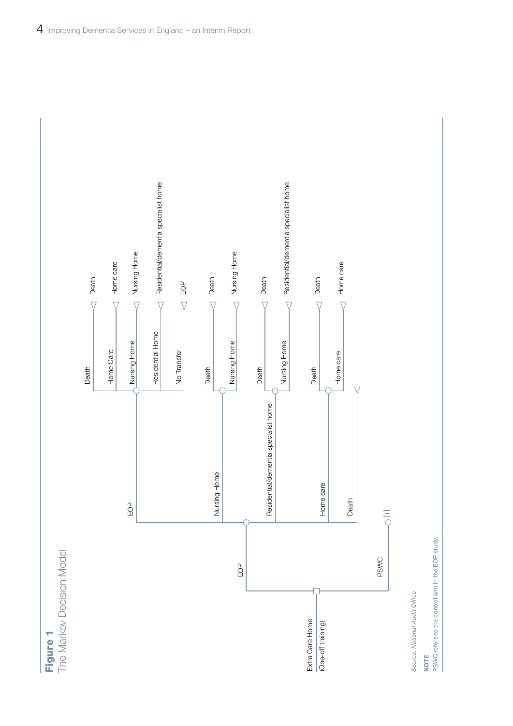

The Markov Decision Model **Figure 1**<br>The Markov Decision Model



Source: National Audit Office **Source: National Audit Office** 

NOTE

PSWC refers to the control arm in the EOP study. PSWC refers to the control arm in the EOP study.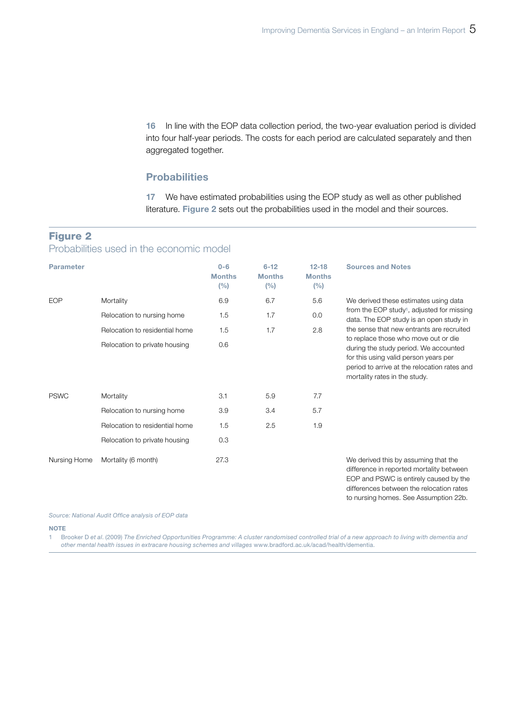16 In line with the EOP data collection period, the two-year evaluation period is divided into four half-year periods. The costs for each period are calculated separately and then aggregated together.

### **Probabilities**

17 We have estimated probabilities using the EOP study as well as other published literature. Figure 2 sets out the probabilities used in the model and their sources.

### Figure 2

Probabilities used in the economic model

| <b>Parameter</b> |                                | $0 - 6$<br><b>Months</b><br>(%) | $6 - 12$<br><b>Months</b><br>(%) | $12 - 18$<br><b>Months</b><br>(%) | <b>Sources and Notes</b>                                                                                                                                                                                |
|------------------|--------------------------------|---------------------------------|----------------------------------|-----------------------------------|---------------------------------------------------------------------------------------------------------------------------------------------------------------------------------------------------------|
| <b>EOP</b>       | Mortality                      | 6.9                             | 6.7                              | 5.6                               | We derived these estimates using data                                                                                                                                                                   |
|                  | Relocation to nursing home     | 1.5                             | 1.7                              | 0.0                               | from the EOP study <sup>1</sup> , adjusted for missing<br>data. The EOP study is an open study in                                                                                                       |
|                  | Relocation to residential home | 1.5                             | 1.7                              | 2.8                               | the sense that new entrants are recruited                                                                                                                                                               |
|                  | Relocation to private housing  | 0.6                             |                                  |                                   | to replace those who move out or die<br>during the study period. We accounted<br>for this using valid person years per<br>period to arrive at the relocation rates and<br>mortality rates in the study. |
| <b>PSWC</b>      | Mortality                      | 3.1                             | 5.9                              | 7.7                               |                                                                                                                                                                                                         |
|                  | Relocation to nursing home     | 3.9                             | 3.4                              | 5.7                               |                                                                                                                                                                                                         |
|                  | Relocation to residential home | 1.5                             | 2.5                              | 1.9                               |                                                                                                                                                                                                         |
|                  | Relocation to private housing  | 0.3                             |                                  |                                   |                                                                                                                                                                                                         |
| Nursing Home     | Mortality (6 month)            | 27.3                            |                                  |                                   | We derived this by assuming that the<br>difference in reported mortality between<br>EOP and PSWC is entirely caused by the                                                                              |

EOP and PSWC is entirely caused by the differences between the relocation rates to nursing homes. See Assumption 22b.

Source: National Audit Office analysis of EOP data

**NOTE** 

1 Brooker D *et al*. (2009) *The Enriched Opportunities Programme: A cluster randomised controlled trial of a new approach to living with dementia and other mental health issues in extracare housing schemes and villages* www.bradford.ac.uk/acad/health/dementia.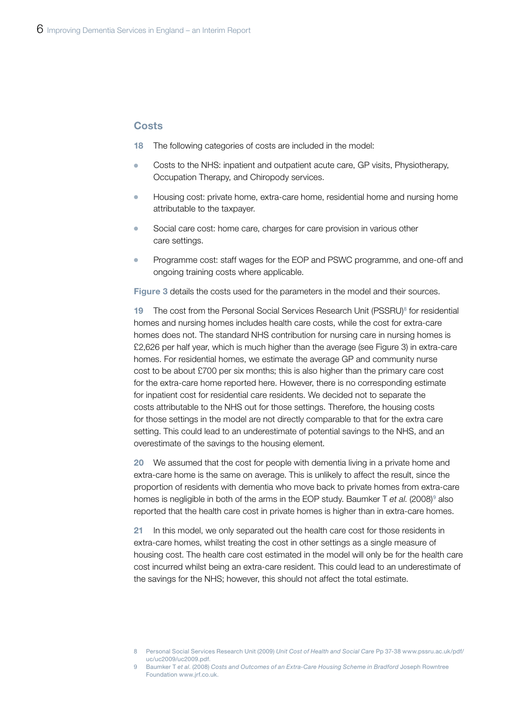#### **Costs**

- 18 The following categories of costs are included in the model:
- Costs to the NHS: inpatient and outpatient acute care, GP visits, Physiotherapy, Occupation Therapy, and Chiropody services.
- Housing cost: private home, extra-care home, residential home and nursing home attributable to the taxpayer.
- Social care cost: home care, charges for care provision in various other care settings.
- Programme cost: staff wages for the EOP and PSWC programme, and one-off and ongoing training costs where applicable.

Figure 3 details the costs used for the parameters in the model and their sources.

19 The cost from the Personal Social Services Research Unit (PSSRU)<sup>8</sup> for residential homes and nursing homes includes health care costs, while the cost for extra-care homes does not. The standard NHS contribution for nursing care in nursing homes is £2,626 per half year, which is much higher than the average (see Figure 3) in extra-care homes. For residential homes, we estimate the average GP and community nurse cost to be about £700 per six months; this is also higher than the primary care cost for the extra-care home reported here. However, there is no corresponding estimate for inpatient cost for residential care residents. We decided not to separate the costs attributable to the NHS out for those settings. Therefore, the housing costs for those settings in the model are not directly comparable to that for the extra care setting. This could lead to an underestimate of potential savings to the NHS, and an overestimate of the savings to the housing element.

20 We assumed that the cost for people with dementia living in a private home and extra-care home is the same on average. This is unlikely to affect the result, since the proportion of residents with dementia who move back to private homes from extra-care homes is negligible in both of the arms in the EOP study. Baumker T et al. (2008)<sup>9</sup> also reported that the health care cost in private homes is higher than in extra-care homes.

21 In this model, we only separated out the health care cost for those residents in extra-care homes, whilst treating the cost in other settings as a single measure of housing cost. The health care cost estimated in the model will only be for the health care cost incurred whilst being an extra-care resident. This could lead to an underestimate of the savings for the NHS; however, this should not affect the total estimate.

<sup>8</sup> Personal Social Services Research Unit (2009) *Unit Cost of Health and Social Care* Pp 37-38 www.pssru.ac.uk/pdf/ uc/uc2009/uc2009.pdf.

<sup>9</sup> Baumker T *et al*. (2008) *Costs and Outcomes of an Extra-Care Housing Scheme in Bradford* Joseph Rowntree Foundation www.jrf.co.uk.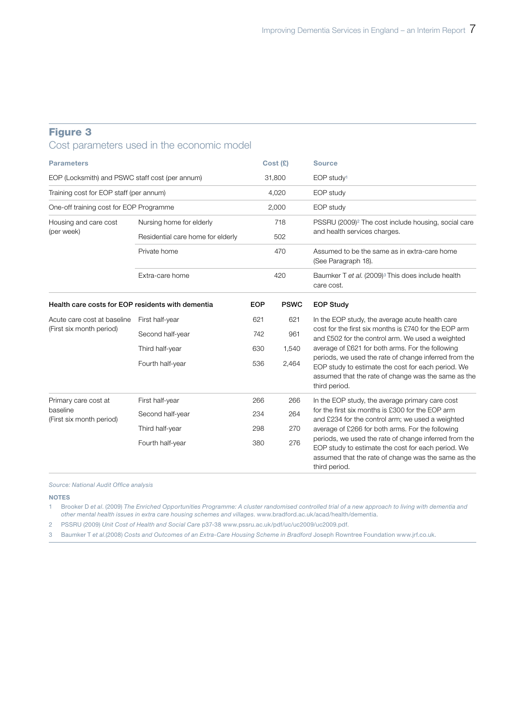## Figure 3

## Cost parameters used in the economic model

| <b>Parameters</b>                                 |                                   |            | Cost(E)     | <b>Source</b>                                                                                                                                                                       |  |
|---------------------------------------------------|-----------------------------------|------------|-------------|-------------------------------------------------------------------------------------------------------------------------------------------------------------------------------------|--|
| EOP (Locksmith) and PSWC staff cost (per annum)   |                                   | 31,800     |             | EOP study <sup>1</sup>                                                                                                                                                              |  |
| Training cost for EOP staff (per annum)           |                                   |            | 4,020       | EOP study                                                                                                                                                                           |  |
| One-off training cost for EOP Programme           |                                   | 2,000      |             | EOP study                                                                                                                                                                           |  |
| Housing and care cost                             | Nursing home for elderly          | 718        |             | PSSRU (2009) <sup>2</sup> The cost include housing, social care<br>and health services charges.                                                                                     |  |
| (per week)                                        | Residential care home for elderly | 502<br>470 |             |                                                                                                                                                                                     |  |
|                                                   | Private home                      |            |             | Assumed to be the same as in extra-care home<br>(See Paragraph 18).                                                                                                                 |  |
|                                                   | Extra-care home                   | 420        |             | Baumker T et al. (2009) <sup>3</sup> This does include health<br>care cost.                                                                                                         |  |
| Health care costs for EOP residents with dementia |                                   | <b>EOP</b> | <b>PSWC</b> | <b>EOP Study</b>                                                                                                                                                                    |  |
| Acute care cost at baseline                       | First half-year                   | 621        | 621         | In the EOP study, the average acute health care                                                                                                                                     |  |
| (First six month period)                          | Second half-year                  | 742        | 961         | cost for the first six months is £740 for the EOP arm<br>and £502 for the control arm. We used a weighted                                                                           |  |
|                                                   | Third half-year                   | 630        | 1,540       | average of £621 for both arms. For the following                                                                                                                                    |  |
|                                                   | Fourth half-year                  | 536        | 2,464       | periods, we used the rate of change inferred from the<br>EOP study to estimate the cost for each period. We<br>assumed that the rate of change was the same as the<br>third period. |  |
| Primary care cost at                              | First half-year                   | 266        | 266         | In the EOP study, the average primary care cost                                                                                                                                     |  |
| baseline<br>(First six month period)              | Second half-year                  | 234        | 264         | for the first six months is £300 for the EOP arm<br>and £234 for the control arm; we used a weighted                                                                                |  |
|                                                   | Third half-year                   | 298        | 270         | average of £266 for both arms. For the following                                                                                                                                    |  |
|                                                   | Fourth half-year                  | 380        | 276         | periods, we used the rate of change inferred from the<br>EOP study to estimate the cost for each period. We<br>assumed that the rate of change was the same as the<br>third period. |  |

**Source: National Audit Office analysis** 

#### NOTES

1 Brooker D *et al*. (2009) *The Enriched Opportunities Programme: A cluster randomised controlled trial of a new approach to living with dementia and other mental health issues in extra care housing schemes and villages*. www.bradford.ac.uk/acad/health/dementia.

2 PSSRU (2009) *Unit Cost of Health and Social Care* p37-38 www.pssru.ac.uk/pdf/uc/uc2009/uc2009.pdf.

3 Baumker T *et al*.(2008) *Costs and Outcomes of an Extra-Care Housing Scheme in Bradford* Joseph Rowntree Foundation www.jrf.co.uk.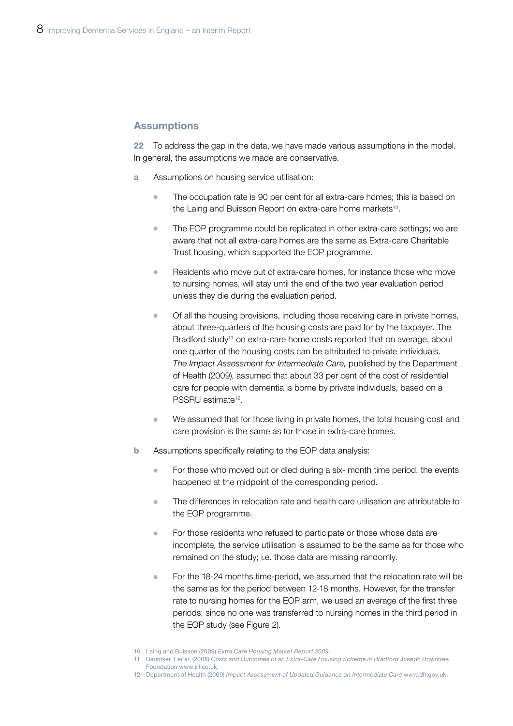#### **Assumptions**

22 To address the gap in the data, we have made various assumptions in the model. In general, the assumptions we made are conservative.

- **a** Assumptions on housing service utilisation:
	- The occupation rate is 90 per cent for all extra-care homes; this is based on the Laing and Buisson Report on extra-care home markets<sup>10</sup>.
	- $\bullet$  The EOP programme could be replicated in other extra-care settings; we are aware that not all extra-care homes are the same as Extra-care Charitable Trust housing, which supported the EOP programme.
	- <sup>¬</sup> Residents who move out of extra-care homes, for instance those who move to nursing homes, will stay until the end of the two year evaluation period unless they die during the evaluation period.
	- $\bullet$  Of all the housing provisions, including those receiving care in private homes, about three-quarters of the housing costs are paid for by the taxpayer. The Bradford study<sup>11</sup> on extra-care home costs reported that on average, about one quarter of the housing costs can be attributed to private individuals. *The Impact Assessment for Intermediate Care,* published by the Department of Health (2009), assumed that about 33 per cent of the cost of residential care for people with dementia is borne by private individuals, based on a PSSRU estimate12.
	- We assumed that for those living in private homes, the total housing cost and care provision is the same as for those in extra-care homes.
- **b** Assumptions specifically relating to the EOP data analysis:
	- For those who moved out or died during a six- month time period, the events happened at the midpoint of the corresponding period.
	- <sup>¬</sup> The differences in relocation rate and health care utilisation are attributable to the EOP programme.
	- For those residents who refused to participate or those whose data are incomplete, the service utilisation is assumed to be the same as for those who remained on the study; i.e. those data are missing randomly.
	- <sup>¬</sup> For the 18-24 months time-period, we assumed that the relocation rate will be the same as for the period between 12-18 months. However, for the transfer rate to nursing homes for the EOP arm, we used an average of the first three periods; since no one was transferred to nursing homes in the third period in the EOP study (see Figure 2).

- 11 Baumker T *et al*. (2008) *Costs and Outcomes of an Extra-Care Housing Scheme in Bradford* Joseph Rowntree Foundation www.jrf.co.uk.
- 12 Department of Health (2009) *Impact Assessment of Updated Guidance on Intermediate Care* www.dh.gov.uk.

<sup>10</sup> Laing and Buisson (2009) *Extra Care Housing Market Report 2009*.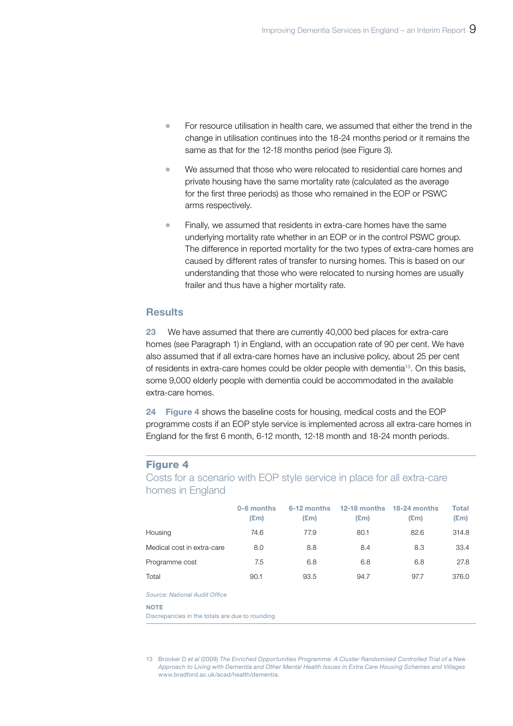- <sup>¬</sup> For resource utilisation in health care, we assumed that either the trend in the change in utilisation continues into the 18-24 months period or it remains the same as that for the 12-18 months period (see Figure 3).
- We assumed that those who were relocated to residential care homes and private housing have the same mortality rate (calculated as the average for the first three periods) as those who remained in the EOP or PSWC arms respectively.
- Finally, we assumed that residents in extra-care homes have the same underlying mortality rate whether in an EOP or in the control PSWC group. The difference in reported mortality for the two types of extra-care homes are caused by different rates of transfer to nursing homes. This is based on our understanding that those who were relocated to nursing homes are usually frailer and thus have a higher mortality rate.

### **Results**

23 We have assumed that there are currently 40,000 bed places for extra-care homes (see Paragraph 1) in England, with an occupation rate of 90 per cent. We have also assumed that if all extra-care homes have an inclusive policy, about 25 per cent of residents in extra-care homes could be older people with dementia<sup>13</sup>. On this basis, some 9,000 elderly people with dementia could be accommodated in the available extra-care homes.

24 Figure 4 shows the baseline costs for housing, medical costs and the EOP programme costs if an EOP style service is implemented across all extra-care homes in England for the first 6 month, 6-12 month, 12-18 month and 18-24 month periods.

#### Figure 4

Costs for a scenario with EOP style service in place for all extra-care homes in England

|                            | 0-6 months<br>$(\text{Em})$ | 6-12 months<br>(£m) | 12-18 months<br>(£m) | 18-24 months<br>(£m) | Total<br>$(\mathbf{E}$ m $)$ |
|----------------------------|-----------------------------|---------------------|----------------------|----------------------|------------------------------|
| Housing                    | 74.6                        | 77.9                | 80.1                 | 82.6                 | 314.8                        |
| Medical cost in extra-care | 8.0                         | 8.8                 | 8.4                  | 8.3                  | 33.4                         |
| Programme cost             | 7.5                         | 6.8                 | 6.8                  | 6.8                  | 27.8                         |
| Total                      | 90.1                        | 93.5                | 94.7                 | 97.7                 | 376.0                        |

**Source: National Audit Office** 

#### **NOTE**

Discrepancies in the totals are due to rounding

13 Brooker D *et al* (2009) *The Enriched Opportunities Programme: A Cluster Randomised Controlled Trial of a New Approach to Living with Dementia and Other Mental Health Issues in Extra Care Housing Schemes and Villages* www.bradford.ac.uk/acad/health/dementia.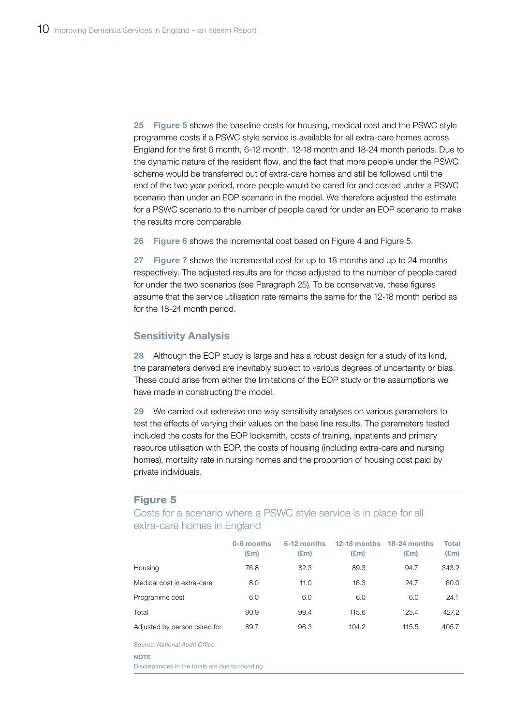25 Figure 5 shows the baseline costs for housing, medical cost and the PSWC style programme costs if a PSWC style service is available for all extra-care homes across England for the first 6 month, 6-12 month, 12-18 month and 18-24 month periods. Due to the dynamic nature of the resident flow, and the fact that more people under the PSWC scheme would be transferred out of extra-care homes and still be followed until the end of the two year period, more people would be cared for and costed under a PSWC scenario than under an EOP scenario in the model. We therefore adjusted the estimate for a PSWC scenario to the number of people cared for under an EOP scenario to make the results more comparable.

26 Figure 6 shows the incremental cost based on Figure 4 and Figure 5.

27 Figure 7 shows the incremental cost for up to 18 months and up to 24 months respectively. The adjusted results are for those adjusted to the number of people cared for under the two scenarios (see Paragraph 25). To be conservative, these figures assume that the service utilisation rate remains the same for the 12-18 month period as for the 18-24 month period.

#### Sensitivity Analysis

28 Although the EOP study is large and has a robust design for a study of its kind. the parameters derived are inevitably subject to various degrees of uncertainty or bias. These could arise from either the limitations of the EOP study or the assumptions we have made in constructing the model.

29 We carried out extensive one way sensitivity analyses on various parameters to test the effects of varying their values on the base line results. The parameters tested included the costs for the EOP locksmith, costs of training, inpatients and primary resource utilisation with EOP, the costs of housing (including extra-care and nursing homes), mortality rate in nursing homes and the proportion of housing cost paid by private individuals.

#### Figure 5

Costs for a scenario where a PSWC style service is in place for all extra-care homes in England

|                              | 0-6 months<br>$(\text{Em})$ | 6-12 months<br>$(\mathbf{E}$ m) | 12-18 months<br>$(\text{Em})$ | 18-24 months<br>$(\text{Em})$ | <b>Total</b><br>$(\text{Em})$ |
|------------------------------|-----------------------------|---------------------------------|-------------------------------|-------------------------------|-------------------------------|
| Housing                      | 76.8                        | 82.3                            | 89.3                          | 94.7                          | 343.2                         |
| Medical cost in extra-care   | 8.0                         | 11.0                            | 16.3                          | 24.7                          | 60.0                          |
| Programme cost               | 6.0                         | 6.0                             | 6.0                           | 6.0                           | 24.1                          |
| Total                        | 90.9                        | 99.4                            | 115.6                         | 125.4                         | 427.2                         |
| Adjusted by person cared for | 89.7                        | 96.3                            | 104.2                         | 115.5                         | 405.7                         |
|                              |                             |                                 |                               |                               |                               |

**Source: National Audit Office** 

#### **NOTE**

Discrepancies in the totals are due to rounding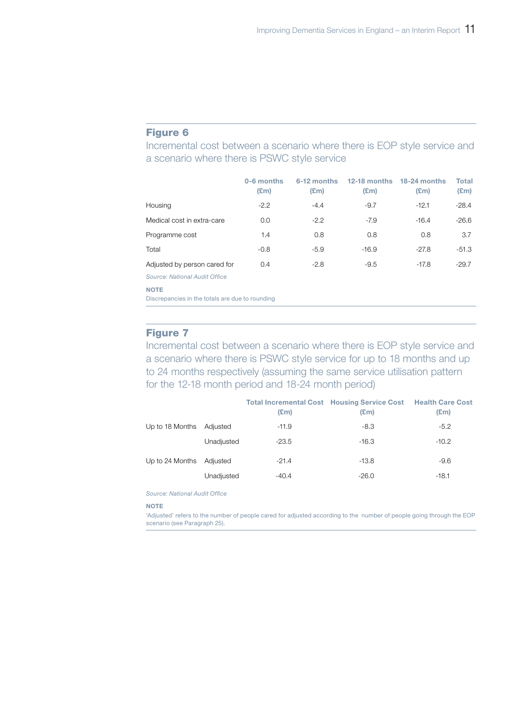#### Figure 6

Incremental cost between a scenario where there is EOP style service and a scenario where there is PSWC style service

|                               | 0-6 months<br>$(\text{Em})$ | 6-12 months<br>$(\mathbf{E}$ m) | $12-18$ months<br>$(\mathbf{E}$ m) | $18-24$ months<br>$(\text{Em})$ | Total<br>$(\text{Em})$ |
|-------------------------------|-----------------------------|---------------------------------|------------------------------------|---------------------------------|------------------------|
| Housing                       | $-2.2$                      | $-4.4$                          | $-9.7$                             | $-12.1$                         | $-28.4$                |
| Medical cost in extra-care    | 0.0                         | $-2.2$                          | $-7.9$                             | $-16.4$                         | $-26.6$                |
| Programme cost                | 1.4                         | 0.8                             | 0.8                                | 0.8                             | 3.7                    |
| Total                         | $-0.8$                      | $-5.9$                          | $-16.9$                            | $-27.8$                         | $-51.3$                |
| Adjusted by person cared for  | 0.4                         | $-2.8$                          | $-9.5$                             | $-17.8$                         | $-29.7$                |
| Source: National Audit Office |                             |                                 |                                    |                                 |                        |

NOTE

Discrepancies in the totals are due to rounding

### Figure 7

Incremental cost between a scenario where there is EOP style service and a scenario where there is PSWC style service for up to 18 months and up to 24 months respectively (assuming the same service utilisation pattern for the 12‑18 month period and 18‑24 month period)

|                 |            | <b>Total Incremental Cost Housing Service Cost Health Care Cost</b><br>$(\text{Em})$ | $(\mathbf{Em})$ | $(\text{Em})$ |
|-----------------|------------|--------------------------------------------------------------------------------------|-----------------|---------------|
| Up to 18 Months | Adjusted   | $-11.9$                                                                              | $-8.3$          | $-5.2$        |
|                 | Unadjusted | $-23.5$                                                                              | $-16.3$         | $-10.2$       |
| Up to 24 Months | Adjusted   | $-21.4$                                                                              | $-13.8$         | $-9.6$        |
|                 | Unadjusted | $-40.4$                                                                              | $-26.0$         | $-18.1$       |

**Source: National Audit Office** 

#### **NOTE**

'Adjusted' refers to the number of people cared for adjusted according to the number of people going through the EOP scenario (see Paragraph 25).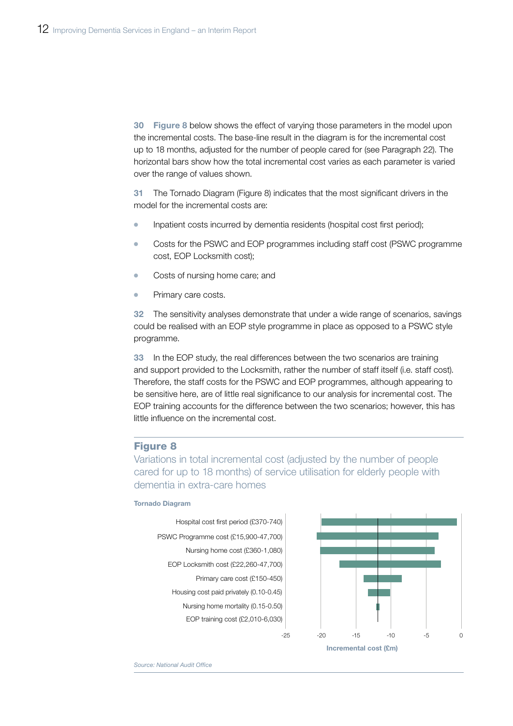30 Figure 8 below shows the effect of varying those parameters in the model upon the incremental costs. The base-line result in the diagram is for the incremental cost up to 18 months, adjusted for the number of people cared for (see Paragraph 22). The horizontal bars show how the total incremental cost varies as each parameter is varied over the range of values shown.

31 The Tornado Diagram (Figure 8) indicates that the most significant drivers in the model for the incremental costs are:

- Inpatient costs incurred by dementia residents (hospital cost first period);
- Costs for the PSWC and EOP programmes including staff cost (PSWC programme cost, EOP Locksmith cost);
- Costs of nursing home care; and
- Primary care costs.

32 The sensitivity analyses demonstrate that under a wide range of scenarios, savings could be realised with an EOP style programme in place as opposed to a PSWC style programme.

33 In the EOP study, the real differences between the two scenarios are training and support provided to the Locksmith, rather the number of staff itself (i.e. staff cost). Therefore, the staff costs for the PSWC and EOP programmes, although appearing to be sensitive here, are of little real significance to our analysis for incremental cost. The EOP training accounts for the difference between the two scenarios; however, this has little influence on the incremental cost.

#### Figure 8

Variations in total incremental cost (adjusted by the number of people cared for up to 18 months) of service utilisation for elderly people with dementia in extra-care homes

#### Tornado Diagram





*Source: National Audit Office*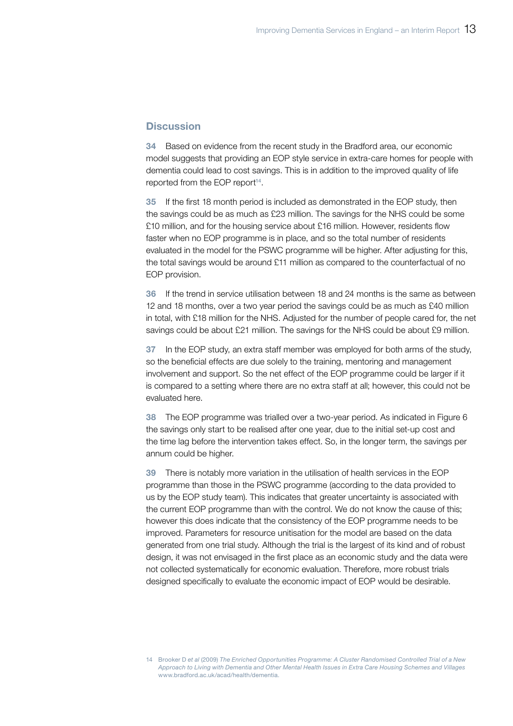#### **Discussion**

34 Based on evidence from the recent study in the Bradford area, our economic model suggests that providing an EOP style service in extra-care homes for people with dementia could lead to cost savings. This is in addition to the improved quality of life reported from the EOP report<sup>14</sup>.

35 If the first 18 month period is included as demonstrated in the EOP study, then the savings could be as much as £23 million. The savings for the NHS could be some £10 million, and for the housing service about £16 million. However, residents flow faster when no EOP programme is in place, and so the total number of residents evaluated in the model for the PSWC programme will be higher. After adjusting for this, the total savings would be around £11 million as compared to the counterfactual of no EOP provision.

36 If the trend in service utilisation between 18 and 24 months is the same as between 12 and 18 months, over a two year period the savings could be as much as £40 million in total, with £18 million for the NHS. Adjusted for the number of people cared for, the net savings could be about £21 million. The savings for the NHS could be about £9 million.

37 In the EOP study, an extra staff member was employed for both arms of the study, so the beneficial effects are due solely to the training, mentoring and management involvement and support. So the net effect of the EOP programme could be larger if it is compared to a setting where there are no extra staff at all; however, this could not be evaluated here.

38 The EOP programme was trialled over a two-year period. As indicated in Figure 6 the savings only start to be realised after one year, due to the initial set-up cost and the time lag before the intervention takes effect. So, in the longer term, the savings per annum could be higher.

39 There is notably more variation in the utilisation of health services in the EOP programme than those in the PSWC programme (according to the data provided to us by the EOP study team). This indicates that greater uncertainty is associated with the current EOP programme than with the control. We do not know the cause of this; however this does indicate that the consistency of the EOP programme needs to be improved. Parameters for resource unitisation for the model are based on the data generated from one trial study. Although the trial is the largest of its kind and of robust design, it was not envisaged in the first place as an economic study and the data were not collected systematically for economic evaluation. Therefore, more robust trials designed specifically to evaluate the economic impact of EOP would be desirable.

<sup>14</sup> Brooker D *et al* (2009) *The Enriched Opportunities Programme: A Cluster Randomised Controlled Trial of a New Approach to Living with Dementia and Other Mental Health Issues in Extra Care Housing Schemes and Villages*  www.bradford.ac.uk/acad/health/dementia.